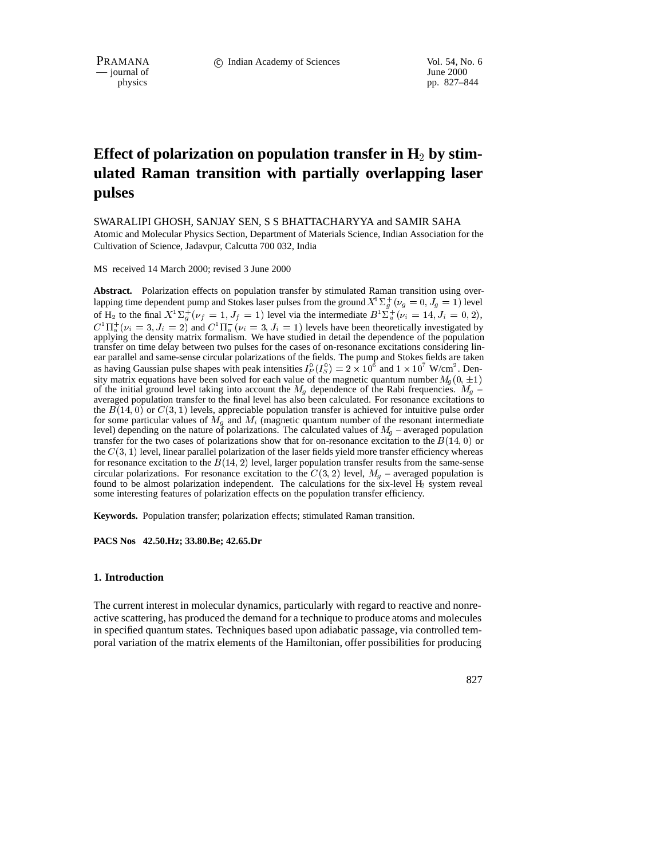$\frac{1}{\text{p}}$  journal of

pp. 827–844

# Effect of polarization on population transfer in H<sub>2</sub> by stim**ulated Raman transition with partially overlapping laser pulses**

SWARALIPI GHOSH, SANJAY SEN, S S BHATTACHARYYA and SAMIR SAHA

Atomic and Molecular Physics Section, Department of Materials Science, Indian Association for the Cultivation of Science, Jadavpur, Calcutta 700 032, India

MS received 14 March 2000; revised 3 June 2000

**Abstract.** Polarization effects on population transfer by stimulated Raman transition using overlapping time dependent pump and Stokes laser pulses from the ground  $X^1\Sigma_d^+(v_g=0, J_g=1)$  level of H<sub>2</sub> to the final  $X^1 \Sigma_q^+ (\nu_f = 1, J_f = 1)$  level via the intermediate  $B^1 \Sigma_u^+ (\nu_i = 14, J_i = 0, 2)$ ,  $C^{\perp}\Pi_u^{\perp}(\nu_i=3, J_i=2)$  and  $C^{\perp}\Pi_u^{\perp}(\nu_i=3, J_i=1)$  levels have been theoretically investigated by applying the density matrix formalism. We have studied in detail the dependence of the population transfer on time delay between two pulses for the cases of on-resonance excitations considering linear parallel and same-sense circular polarizations of the fields. The pump and Stokes fields are taken as having Gaussian pulse shapes with peak intensities  $I_p^0(I_S^0) = 2 \times 10^6$  and  $1 \times 10^7$  W/cm<sup>2</sup>. Density matrix equations have been solved for each value of the magnetic quantum number  $M_q(0,\pm 1)$ of the initial ground level taking into account the  $M_g$  dependence of the Rabi frequencies.  $M_g$  – averaged population transfer to the final level has also been calculated. For resonance excitations to the  $B(14, 0)$  or  $C(3, 1)$  levels, appreciable population transfer is achieved for intuitive pulse order for some particular values of  $M_q$  and  $M_i$  (magnetic quantum number of the resonant intermediate level) depending on the nature of polarizations. The calculated values of  $M<sub>q</sub>$  – averaged population transfer for the two cases of polarizations show that for on-resonance excitation to the  $B(14, 0)$  or the  $C(3, 1)$  level, linear parallel polarization of the laser fields yield more transfer efficiency whereas for resonance excitation to the  $B(14, 2)$  level, larger population transfer results from the same-sense circular polarizations. For resonance excitation to the  $C(3, 2)$  level,  $M<sub>q</sub>$  – averaged population is found to be almost polarization independent. The calculations for the six-level H<sub>2</sub> system reveal some interesting features of polarization effects on the population transfer efficiency.

**Keywords.** Population transfer; polarization effects; stimulated Raman transition.

**PACS Nos 42.50.Hz; 33.80.Be; 42.65.Dr**

# **1. Introduction**

The current interest in molecular dynamics, particularly with regard to reactive and nonreactive scattering, has produced the demand for a technique to produce atoms and molecules in specified quantum states. Techniques based upon adiabatic passage, via controlled temporal variation of the matrix elements of the Hamiltonian, offer possibilities for producing

827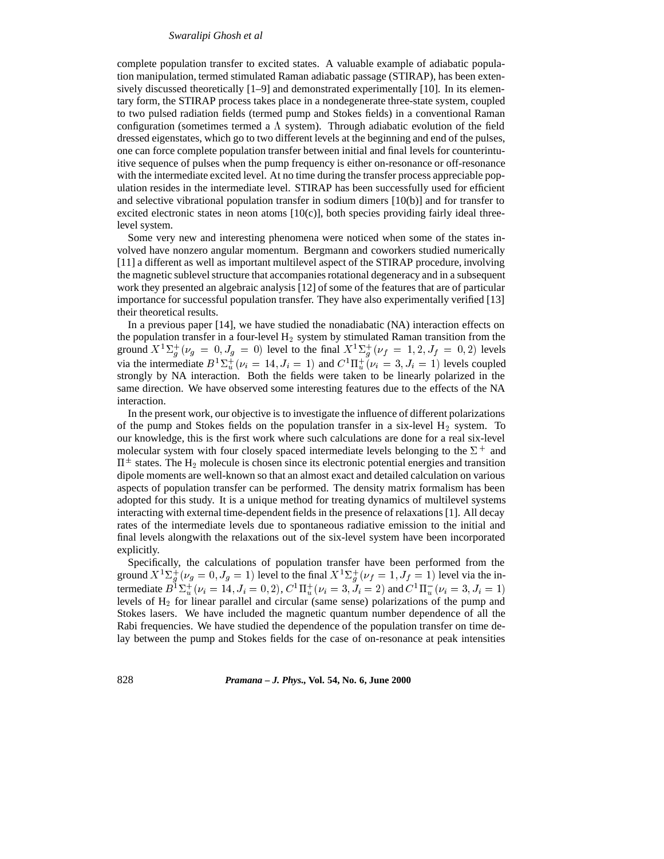complete population transfer to excited states. A valuable example of adiabatic population manipulation, termed stimulated Raman adiabatic passage (STIRAP), has been extensively discussed theoretically [1–9] and demonstrated experimentally [10]. In its elementary form, the STIRAP process takes place in a nondegenerate three-state system, coupled to two pulsed radiation fields (termed pump and Stokes fields) in a conventional Raman configuration (sometimes termed a  $\Lambda$  system). Through adiabatic evolution of the field dressed eigenstates, which go to two different levels at the beginning and end of the pulses, one can force complete population transfer between initial and final levels for counterintuitive sequence of pulses when the pump frequency is either on-resonance or off-resonance with the intermediate excited level. At no time during the transfer process appreciable population resides in the intermediate level. STIRAP has been successfully used for efficient and selective vibrational population transfer in sodium dimers [10(b)] and for transfer to excited electronic states in neon atoms  $[10(c)]$ , both species providing fairly ideal threelevel system.

Some very new and interesting phenomena were noticed when some of the states involved have nonzero angular momentum. Bergmann and coworkers studied numerically [11] a different as well as important multilevel aspect of the STIRAP procedure, involving the magnetic sublevel structure that accompanies rotational degeneracy and in a subsequent work they presented an algebraic analysis [12] of some of the features that are of particular importance for successful population transfer. They have also experimentally verified [13] their theoretical results.

In a previous paper [14], we have studied the nonadiabatic (NA) interaction effects on the population transfer in a four-level  $H_2$  system by stimulated Raman transition from the ground  $X^{1}\Sigma_{q}^{+}(\nu_{g}=0, J_{g}=0)$  level to the final  $X^{1}\Sigma_{q}^{+}(\nu_{f}=1, 2, J_{f}=0, 2)$  levels via the intermediate  $B^1\Sigma_u^+(\nu_i = 14, J_i = 1)$  and  $C^1\Pi_u^+(\nu_i = 3, J_i = 1)$  levels coupled strongly by NA interaction. Both the fields were taken to be linearly polarized in the same direction. We have observed some interesting features due to the effects of the NA interaction.

In the present work, our objective is to investigate the influence of different polarizations of the pump and Stokes fields on the population transfer in a six-level  $H_2$  system. To our knowledge, this is the first work where such calculations are done for a real six-level molecular system with four closely spaced intermediate levels belonging to the  $\Sigma^+$  and  $\Pi^{\pm}$  states. The  $H_2$  molecule is chosen since its electronic potential energies and transition dipole moments are well-known so that an almost exact and detailed calculation on various aspects of population transfer can be performed. The density matrix formalism has been adopted for this study. It is a unique method for treating dynamics of multilevel systems interacting with external time-dependent fields in the presence of relaxations [1]. All decay rates of the intermediate levels due to spontaneous radiative emission to the initial and final levels alongwith the relaxations out of the six-level system have been incorporated explicitly.

Specifically, the calculations of population transfer have been performed from the ground  $X^1\Sigma_q^+(\nu_g=0, J_g=1)$  level to the final  $X^1\Sigma_q^+(\nu_f=1, J_f=1)$  level via the intermediate  $B^1\Sigma_u^+(\nu_i=14, J_i=0,2)$ ,  $C^1\Pi_u^+(\nu_i=3, J_i=2)$  and  $C^1\Pi_u^-(\nu_i=3, J_i=1)$ levels of  $H<sub>2</sub>$  for linear parallel and circular (same sense) polarizations of the pump and Stokes lasers. We have included the magnetic quantum number dependence of all the Rabi frequencies. We have studied the dependence of the population transfer on time delay between the pump and Stokes fields for the case of on-resonance at peak intensities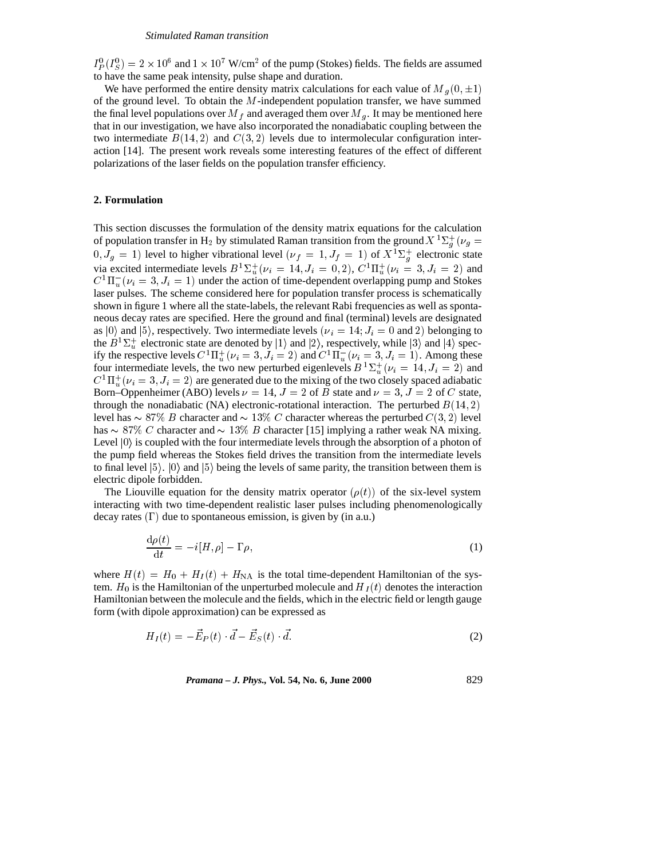$I_P^0(I_S^0) = 2 \times 10^6$  and  $1 \times 10^7$  W/cm<sup>2</sup> of the pump (Stokes) fields. The fields are assumed to have the same peak intensity, pulse shape and duration.

We have performed the entire density matrix calculations for each value of M<sub>q</sub>(0,  $\pm$ 1) of the ground level. To obtain the  $M$ -independent population transfer, we have summed the final level populations over  $M_f$  and averaged them over  $M_g$ . It may be mentioned here that in our investigation, we have also incorporated the nonadiabatic coupling between the two intermediate  $B(14, 2)$  and  $C(3, 2)$  levels due to intermolecular configuration interaction [14]. The present work reveals some interesting features of the effect of different polarizations of the laser fields on the population transfer efficiency.

## **2. Formulation**

This section discusses the formulation of the density matrix equations for the calculation of population transfer in H<sub>2</sub> by stimulated Raman transition from the ground  $X^1\Sigma^+_q(\nu_g =$  $(0, J_g = 1)$  level to higher vibrational level  $(\nu_f = 1, J_f = 1)$  of  $X^1\Sigma_g^+$  electronic state via excited intermediate levels  $B^1\Sigma_u^{\perp}(\nu_i = 14, J_i = 0, 2), C^1\Pi_u^{\perp}(\nu_i = 3, J_i = 2)$  and  $C^{1}\Pi_{u}^{-}(\nu_{i} = 3, J_{i} = 1)$  under the action of time-dependent overlapping pump and Stokes laser pulses. The scheme considered here for population transfer process is schematically shown in figure 1 where all the state-labels, the relevant Rabi frequencies as well as spontaneous decay rates are specified. Here the ground and final (terminal) levels are designated as  $|0\rangle$  and  $|5\rangle$ , respectively. Two intermediate levels ( $\nu_i = 14; J_i = 0$  and 2) belonging to the  $B^1\Sigma_u^+$  electronic state are denoted by  $|1\rangle$  and  $|2\rangle$ , respectively, while  $|3\rangle$  and  $|4\rangle$  specify the respective levels  $C^1\Pi_u^+(\nu_i = 3, J_i = 2)$  and  $C^1\Pi_u^-(\nu_i = 3, J_i = 1)$ . Among these four intermediate levels, the two new perturbed eigenlevels  $B^{-1}\Sigma_{u}^{+}(\nu_{i} = 14, J_{i} = 2)$  and u $C^{1}\Pi_{u}^{+}(\nu_{i}=3, J_{i}=2)$  are generated due to the mixing of the two closely spaced adiabatic Born–Oppenheimer (ABO) levels  $\nu = 14$ ,  $J = 2$  of B state and  $\nu = 3$ ,  $J = 2$  of C state, through the nonadiabatic (NA) electronic-rotational interaction. The perturbed  $B(14, 2)$ level has  $\sim 87\%$  B character and  $\sim 13\%$  C character whereas the perturbed  $C(3, 2)$  level has  $\sim 87\%$  C character and  $\sim 13\%$  B character [15] implying a rather weak NA mixing. Level  $|0\rangle$  is coupled with the four intermediate levels through the absorption of a photon of the pump field whereas the Stokes field drives the transition from the intermediate levels to final level  $|5\rangle$ .  $|0\rangle$  and  $|5\rangle$  being the levels of same parity, the transition between them is electric dipole forbidden.

The Liouville equation for the density matrix operator  $(\rho(t))$  of the six-level system interacting with two time-dependent realistic laser pulses including phenomenologically decay rates  $(\Gamma)$  due to spontaneous emission, is given by (in a.u.)

$$
\frac{\mathrm{d}\rho(t)}{\mathrm{d}t} = -i[H,\rho] - \Gamma\rho,\tag{1}
$$

where  $H(t) = H_0 + H_I(t) + H_{NA}$  is the total time-dependent Hamiltonian of the system.  $H_0$  is the Hamiltonian of the unperturbed molecule and  $H_I(t)$  denotes the interaction Hamiltonian between the molecule and the fields, which in the electric field or length gauge form (with dipole approximation) can be expressed as

$$
H_I(t) = -\vec{E}_P(t) \cdot \vec{d} - \vec{E}_S(t) \cdot \vec{d}.\tag{2}
$$

*Pramana – J. Phys.,* **Vol. 54, No. 6, June 2000** 829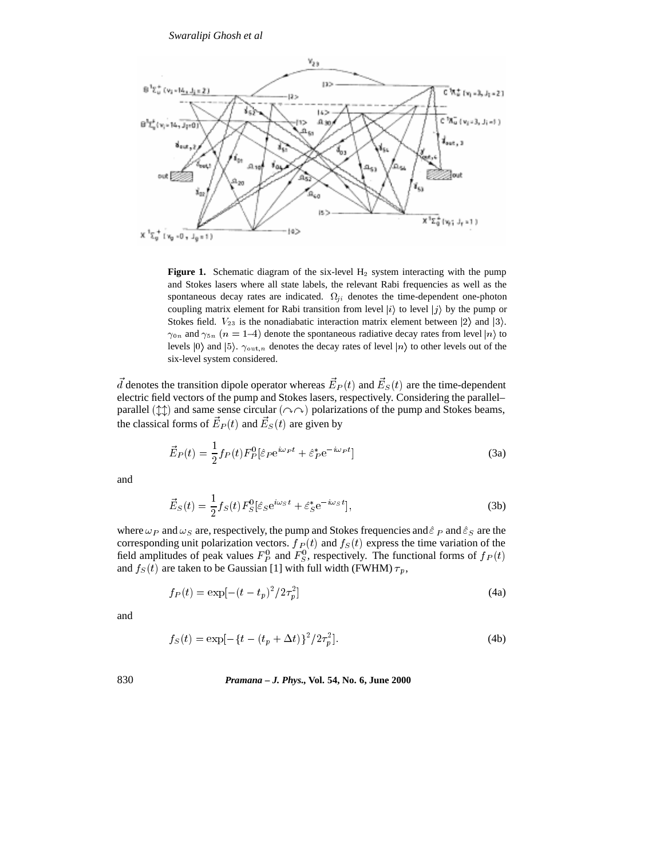

**Figure 1.** Schematic diagram of the six-level  $H_2$  system interacting with the pump and Stokes lasers where all state labels, the relevant Rabi frequencies as well as the spontaneous decay rates are indicated.  $\Omega_{ji}$  denotes the time-dependent one-photon coupling matrix element for Rabi transition from level  $|i\rangle$  to level  $|j\rangle$  by the pump or Stokes field.  $V_{23}$  is the nonadiabatic interaction matrix element between  $|2\rangle$  and  $|3\rangle$ .  $\gamma_{0n}$  and  $\gamma_{5n}$  ( $n = 1-4$ ) denote the spontaneous radiative decay rates from level  $|n\rangle$  to levels  $|0\rangle$  and  $|5\rangle$ .  $\gamma_{\text{out},n}$  denotes the decay rates of level  $|n\rangle$  to other levels out of the six-level system considered.

d denotes the transition dipole operator whereas  $E_P(t)$  and  $E_S(t)$  are the time-dependent electric field vectors of the pump and Stokes lasers, respectively. Considering the parallel– parallel  $(\uparrow \uparrow)$  and same sense circular  $(\sim \sim)$  polarizations of the pump and Stokes beams, the classical forms of  $E_P(t)$  and  $E_S(t)$  are given by

$$
\vec{E}_P(t) = \frac{1}{2} f_P(t) F_P^0 [\hat{\varepsilon}_P e^{i\omega_P t} + \hat{\varepsilon}_P^* e^{-i\omega_P t}]
$$
\n(3a)

and

$$
\vec{E}_S(t) = \frac{1}{2} f_S(t) F_S^0 [\hat{\varepsilon}_S e^{i\omega_S t} + \hat{\varepsilon}_S^* e^{-i\omega_S t}], \tag{3b}
$$

where  $\omega_P$  and  $\omega_S$  are, respectively, the pump and Stokes frequencies and  $\hat{\varepsilon}_P$  and  $\hat{\varepsilon}_S$  are the corresponding unit polarization vectors.  $f_P(t)$  and  $f_S(t)$  express the time variation of the field amplitudes of peak values  $F_P^0$  and  $F_S^0$ , respectively. The functional forms of  $f_P(t)$ and  $f_S(t)$  are taken to be Gaussian [1] with full width (FWHM)  $\tau_p$ ,

$$
f_P(t) = \exp[-(t - t_p)^2 / 2\tau_p^2]
$$
 (4a)

and

$$
f_S(t) = \exp[-\{t - (t_p + \Delta t)\}^2 / 2\tau_p^2].
$$
\n(4b)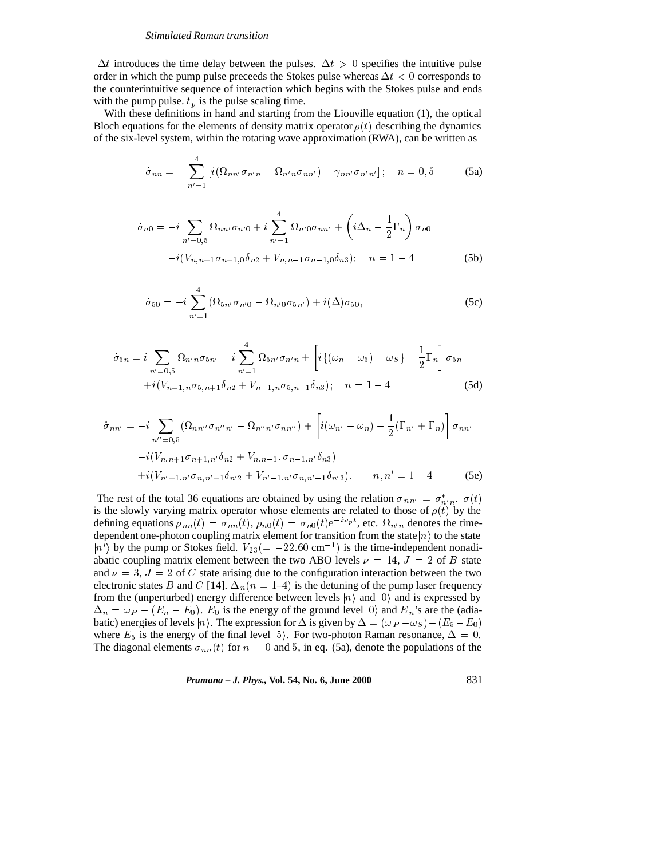$\Delta t$  introduces the time delay between the pulses.  $\Delta t > 0$  specifies the intuitive pulse order in which the pump pulse preceeds the Stokes pulse whereas  $\Delta t < 0$  corresponds to the counterintuitive sequence of interaction which begins with the Stokes pulse and ends with the pump pulse.  $t_p$  is the pulse scaling time.

With these definitions in hand and starting from the Liouville equation (1), the optical Bloch equations for the elements of density matrix operator  $\rho(t)$  describing the dynamics of the six-level system, within the rotating wave approximation (RWA), can be written as

$$
\dot{\sigma}_{nn} = -\sum_{n'=1}^{4} \left[ i(\Omega_{nn'} \sigma_{n'n} - \Omega_{n'n} \sigma_{nn'}) - \gamma_{nn'} \sigma_{n'n'} \right]; \quad n = 0,5 \tag{5a}
$$

$$
\dot{\sigma}_{n0} = -i \sum_{n'=0,5} \Omega_{nn'} \sigma_{n'0} + i \sum_{n'=1}^{4} \Omega_{n'0} \sigma_{nn'} + \left( i \Delta_n - \frac{1}{2} \Gamma_n \right) \sigma_{n0}
$$

$$
-i (V_{n,n+1} \sigma_{n+1,0} \delta_{n2} + V_{n,n-1} \sigma_{n-1,0} \delta_{n3}); \quad n = 1 - 4 \tag{5b}
$$

$$
\dot{\sigma}_{50} = -i \sum_{n'=1}^{4} (\Omega_{5n'} \sigma_{n'0} - \Omega_{n'0} \sigma_{5n'}) + i(\Delta) \sigma_{50}, \qquad (5c)
$$

$$
\dot{\sigma}_{5n} = i \sum_{n'=0,5} \Omega_{n'n} \sigma_{5n'} - i \sum_{n'=1}^{4} \Omega_{5n'} \sigma_{n'n} + \left[ i \{ (\omega_n - \omega_5) - \omega_S \} - \frac{1}{2} \Gamma_n \right] \sigma_{5n}
$$

$$
+ i (V_{n+1,n} \sigma_{5,n+1} \delta_{n2} + V_{n-1,n} \sigma_{5,n-1} \delta_{n3}); \quad n = 1 - 4
$$
 (5d)

$$
\dot{\sigma}_{nn'} = -i \sum_{n''=0,5} (\Omega_{nn''} \sigma_{n''n'} - \Omega_{n''n'} \sigma_{nn''}) + \left[ i(\omega_{n'} - \omega_n) - \frac{1}{2} (\Gamma_{n'} + \Gamma_n) \right] \sigma_{nn'}
$$

$$
-i(V_{n,n+1} \sigma_{n+1,n'} \delta_{n2} + V_{n,n-1}, \sigma_{n-1,n'} \delta_{n3})
$$

$$
+i(V_{n'+1,n'} \sigma_{n,n'+1} \delta_{n'2} + V_{n'-1,n'} \sigma_{n,n'-1} \delta_{n'3}). \qquad n, n' = 1 - 4 \qquad (5e)
$$

The rest of the total 36 equations are obtained by using the relation  $\sigma_{nn'} = \sigma_{n'n}^*$ .  $\sigma(t)$ is the slowly varying matrix operator whose elements are related to those of  $\rho(t)$  by the defining equations  $\rho_{nn}(t) = \sigma_{nn}(t)$ ,  $\rho_{n0}(t) = \sigma_{n0}(t)e^{-i\omega_p t}$ , etc.  $\Omega_{n'n}$  denotes the timedependent one-photon coupling matrix element for transition from the state  $|n\rangle$  to the state  $|n'\rangle$  by the pump or Stokes field.  $V_{23}(=-22.60 \text{ cm}^{-1})$  is the time-independent nonadiabatic coupling matrix element between the two ABO levels  $\nu = 14$ ,  $J = 2$  of B state and  $\nu = 3$ ,  $J = 2$  of C state arising due to the configuration interaction between the two electronic states B and C [14].  $\Delta_n(n = 1-4)$  is the detuning of the pump laser frequency from the (unperturbed) energy difference between levels  $|n\rangle$  and  $|0\rangle$  and is expressed by  $\Delta_n = \omega_P - (E_n - E_0)$ .  $E_0$  is the energy of the ground level  $|0\rangle$  and  $E_n$ 's are the (adiabatic) energies of levels  $|n\rangle$ . The expression for  $\Delta$  is given by  $\Delta=(\omega_P-\omega_S)-(E_5-E_0)$ where  $E_5$  is the energy of the final level  $|5\rangle$ . For two-photon Raman resonance,  $\Delta = 0$ . The diagonal elements  $\sigma_{nn}(t)$  for  $n = 0$  and 5, in eq. (5a), denote the populations of the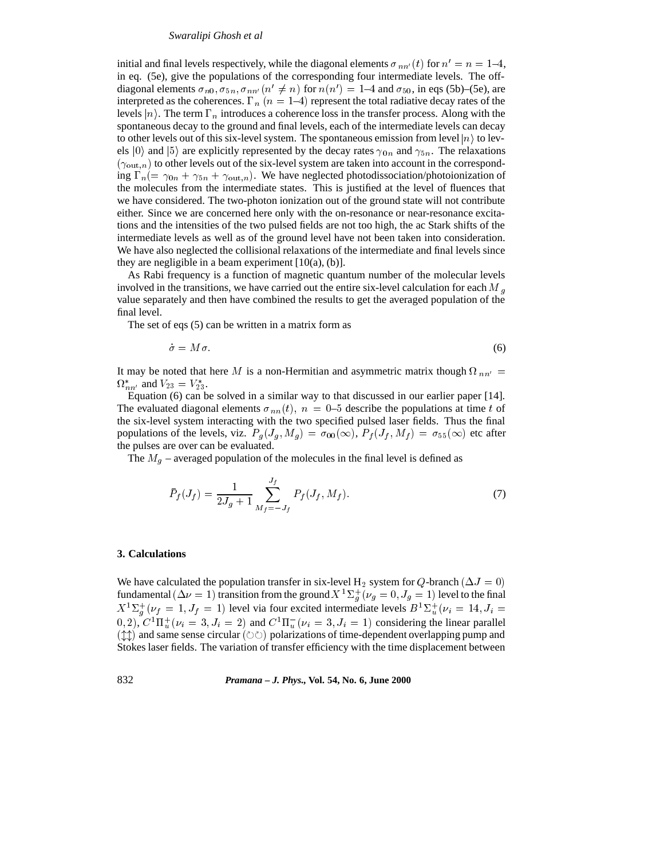initial and final levels respectively, while the diagonal elements  $\sigma_{nn'}(t)$  for  $n' = n = 1-4$ , in eq. (5e), give the populations of the corresponding four intermediate levels. The offdiagonal elements  $\sigma_{n0}$ ,  $\sigma_{5n}$ ,  $\sigma_{nn'} (n' \neq n)$  for  $n(n')=1-4$  and  $\sigma_{50}$ , in eqs (5b)–(5e), are interpreted as the coherences.  $\Gamma_n$  ( $n = 1-4$ ) represent the total radiative decay rates of the levels  $|n\rangle$ . The term  $\Gamma_n$  introduces a coherence loss in the transfer process. Along with the spontaneous decay to the ground and final levels, each of the intermediate levels can decay to other levels out of this six-level system. The spontaneous emission from level  $|n\rangle$  to levels  $|0\rangle$  and  $|5\rangle$  are explicitly represented by the decay rates  $\gamma_{0n}$  and  $\gamma_{5n}$ . The relaxations  $(\gamma_{\text{out},n})$  to other levels out of the six-level system are taken into account in the corresponding  $\Gamma_n(=\gamma_{0n} + \gamma_{5n} + \gamma_{\text{out},n})$ . We have neglected photodissociation/photoionization of the molecules from the intermediate states. This is justified at the level of fluences that we have considered. The two-photon ionization out of the ground state will not contribute either. Since we are concerned here only with the on-resonance or near-resonance excitations and the intensities of the two pulsed fields are not too high, the ac Stark shifts of the intermediate levels as well as of the ground level have not been taken into consideration. We have also neglected the collisional relaxations of the intermediate and final levels since they are negligible in a beam experiment  $[10(a), (b)].$ 

As Rabi frequency is a function of magnetic quantum number of the molecular levels involved in the transitions, we have carried out the entire six-level calculation for each  $M_a$ value separately and then have combined the results to get the averaged population of the final level.

The set of eqs (5) can be written in a matrix form as

$$
\dot{\sigma} = M\sigma. \tag{6}
$$

It may be noted that here M is a non-Hermitian and asymmetric matrix though  $\Omega_{nn'} =$  $\Omega_{nn'}^*$  and  $V_{23} = V_{23}^*$ .

Equation (6) can be solved in a similar way to that discussed in our earlier paper [14]. The evaluated diagonal elements  $\sigma_{nn}(t)$ ,  $n = 0$ –5 describe the populations at time t of the six-level system interacting with the two specified pulsed laser fields. Thus the final populations of the levels, viz.  $P_g$  ( $J_g$ ,  $M_g$ ) =  $\sigma_{00}(\infty)$ ,  $P_f$  ( $J_f$ ,  $M_f$ ) =  $\sigma_{55}(\infty)$  etc after the pulses are over can be evaluated.

The  $M<sub>g</sub>$  – averaged population of the molecules in the final level is defined as

$$
\bar{P}_f(J_f) = \frac{1}{2J_g + 1} \sum_{M_f = -J_f}^{J_f} P_f(J_f, M_f). \tag{7}
$$

## **3. Calculations**

We have calculated the population transfer in six-level H<sub>2</sub> system for Q-branch ( $\Delta J = 0$ ) fundamental ( $\Delta \nu = 1$ ) transition from the ground  $X$   $^1\Sigma^+_q(\nu_g = 0, J_g = 1)$  level to the final  $X^1 \Sigma_a^+ (\nu_f = 1, J_f = 1)$  level via four excited intermediate levels  $B^1 \Sigma_a^+ (\nu_i = 14, J_i = 14)$ gu $(0, 2)$ ,  $C^1\Pi_u^+(\nu_i = 3, J_i = 2)$  and  $C^1\Pi_u^-(\nu_i = 3, J_i = 1)$  considering the linear parallel  $(\updownarrow \updownarrow)$  and same sense circular ( $\circlearrowright \circlearrowright)$  polarizations of time-dependent overlapping pump and Stokes laser fields. The variation of transfer efficiency with the time displacement between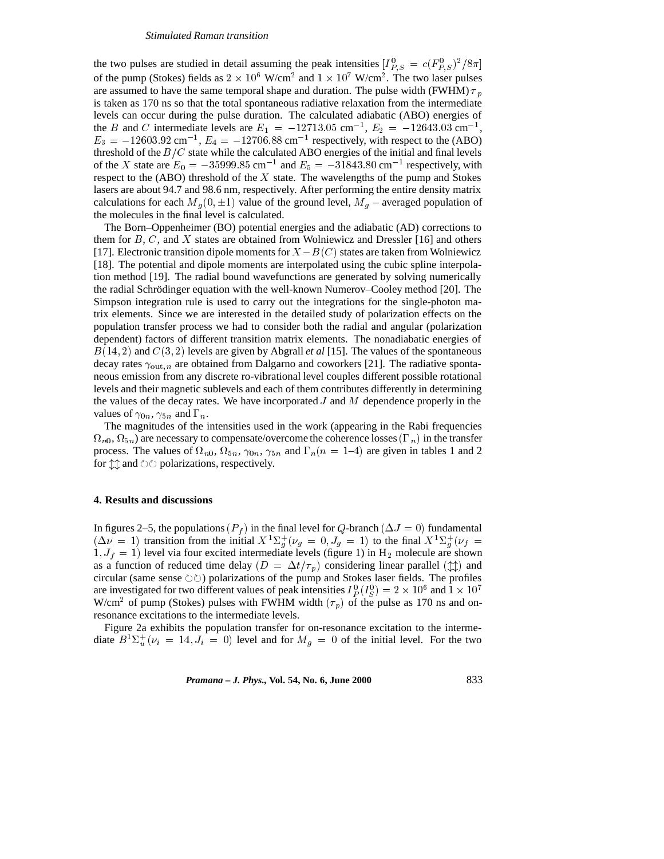the two pulses are studied in detail assuming the peak intensities  $[I_{P,S}^0] = c(F_{P,S}^0)^2/8\pi$  $$ of the pump (Stokes) fields as  $2 \times 10^6$  W/cm<sup>2</sup> and  $1 \times 10^7$  W/cm<sup>2</sup>. The two laser pulses are assumed to have the same temporal shape and duration. The pulse width (FWHM)  $\tau_p$ is taken as 170 ns so that the total spontaneous radiative relaxation from the intermediate levels can occur during the pulse duration. The calculated adiabatic (ABO) energies of the B and C intermediate levels are  $E_1 = -12713.05$  cm<sup>-1</sup>,  $E_2 = -12643.03$  cm<sup>-1</sup>,  $E_3 = -12603.92 \text{ cm}^{-1}$ ,  $E_4 = -12706.88 \text{ cm}^{-1}$  respectively, with respect to the (ABO) threshold of the  $B/C$  state while the calculated ABO energies of the initial and final levels of the X state are  $E_0 = -35999.85$  cm<sup>-1</sup> and  $E_5 = -31843.80$  cm<sup>-1</sup> respectively, with respect to the (ABO) threshold of the  $X$  state. The wavelengths of the pump and Stokes lasers are about 94.7 and 98.6 nm, respectively. After performing the entire density matrix calculations for each  $M<sub>g</sub>(0, \pm 1)$  value of the ground level,  $M<sub>g</sub>$  – averaged population of the molecules in the final level is calculated.

The Born–Oppenheimer (BO) potential energies and the adiabatic (AD) corrections to them for  $B, C$ , and X states are obtained from Wolniewicz and Dressler [16] and others [17]. Electronic transition dipole moments for  $X - B(C)$  states are taken from Wolniewicz [18]. The potential and dipole moments are interpolated using the cubic spline interpolation method [19]. The radial bound wavefunctions are generated by solving numerically the radial Schrödinger equation with the well-known Numerov–Cooley method [20]. The Simpson integration rule is used to carry out the integrations for the single-photon matrix elements. Since we are interested in the detailed study of polarization effects on the population transfer process we had to consider both the radial and angular (polarization dependent) factors of different transition matrix elements. The nonadiabatic energies of  $B(14, 2)$  and  $C(3, 2)$  levels are given by Abgrall *et al* [15]. The values of the spontaneous decay rates  $\gamma_{\text{out},n}$  are obtained from Dalgarno and coworkers [21]. The radiative spontaneous emission from any discrete ro-vibrational level couples different possible rotational levels and their magnetic sublevels and each of them contributes differently in determining the values of the decay rates. We have incorporated  $J$  and  $M$  dependence properly in the values of  $\gamma_{0n}, \gamma_{5n}$  and  $\Gamma_n$ .

The magnitudes of the intensities used in the work (appearing in the Rabi frequencies  $\Omega_{n0},\Omega_{5n})$  are necessary to compensate/overcome the coherence losses (T  $_n$  ) in the transfer process. The values of  $\Omega_{n0}$ ,  $\Omega_{5n}$ ,  $\gamma_{0n}$ ,  $\gamma_{5n}$  and  $\Gamma_n(n = 1-4)$  are given in tables 1 and 2 for  $\updownarrow \updownarrow$  and  $\circlearrowright \circlearrowright$  polarizations, respectively.

# **4. Results and discussions**

In figures 2–5, the populations ( $P_f$ ) in the final level for Q-branch ( $\Delta J = 0$ ) fundamental  $(\Delta \nu = 1)$  transition from the initial  $X^1 \Sigma_g^+ (\nu_g = 0, J_g = 1)$  to the final  $X^1 \Sigma_g^+ (\nu_f = 1)$  $1, J_f = 1$ ) level via four excited intermediate levels (figure 1) in H<sub>2</sub> molecule are shown as a function of reduced time delay  $(D = \Delta t/\tau_p)$  considering linear parallel ( $\uparrow \uparrow$ ) and circular (same sense  $\circledcirc\circ$ ) polarizations of the pump and Stokes laser fields. The profiles are investigated for two different values of peak intensities  $I_p^0(I_S^0) = 2 \times 10^6$  and  $1 \times 10^7$ W/cm<sup>2</sup> of pump (Stokes) pulses with FWHM width  $(\tau_p)$  of the pulse as 170 ns and onresonance excitations to the intermediate levels.

Figure 2a exhibits the population transfer for on-resonance excitation to the intermediate  $B^1\Sigma_u^+(\nu_i = 14, J_i = 0)$  level and for  $M_g = 0$  of the initial level. For the two

*Pramana – J. Phys.,* **Vol. 54, No. 6, June 2000** 833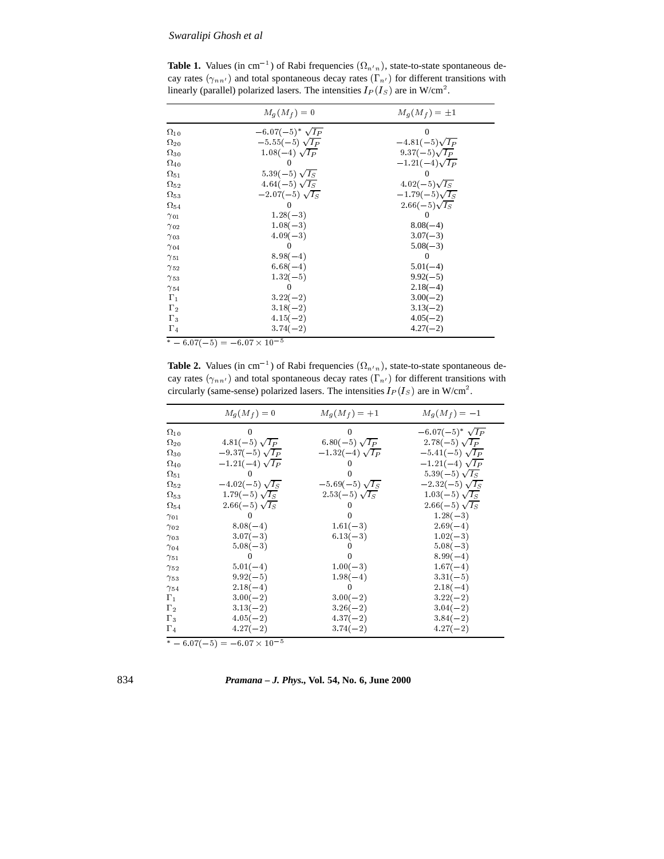**Table 1.** Values (in cm<sup>-1</sup>) of Rabi frequencies  $(\Omega_{n'n})$ , state-to-state spontaneous decay rates  $(\gamma_{nn'})$  and total spontaneous decay rates  $(\Gamma_{n'})$  for different transitions with linearly (parallel) polarized lasers. The intensities  $I_P(I_S)$  are in W/cm<sup>2</sup>.

|               | $M_q(M_f)=0$             | $M_q(M_f)=\pm 1$      |
|---------------|--------------------------|-----------------------|
| $\Omega_{10}$ | $-6.07(-5)^* \sqrt{I_P}$ | 0                     |
| $\Omega_{20}$ | $-5.55(-5)$ $\sqrt{I_P}$ | $-4.81(-5)\sqrt{I_P}$ |
| $\Omega_{30}$ | $1.08(-4)\sqrt{I_P}$     | 9.37 $(-5)\sqrt{I_P}$ |
| $\Omega_{40}$ |                          | $-1.21(-4)\sqrt{I_P}$ |
| $\Omega_{51}$ | 5.39(-5) $\sqrt{I_S}$    |                       |
| $\Omega_{52}$ | 4.64(-5) $\sqrt{I_S}$    | $4.02(-5)\sqrt{I_S}$  |
| $\Omega_{53}$ | $-2.07(-5) \sqrt{I_S}$   | $-1.79(-5)\sqrt{I_S}$ |
| $\Omega_{54}$ |                          | $2.66(-5)\sqrt{T_s}$  |
| $\gamma_{01}$ | $1.28(-3)$               | $\theta$              |
| $\gamma_{02}$ | $1.08(-3)$               | $8.08(-4)$            |
| $\gamma_{03}$ | $4.09(-3)$               | $3.07(-3)$            |
| $\gamma_{04}$ |                          | $5.08(-3)$            |
| $\gamma_{51}$ | $8.98(-4)$               |                       |
| $\gamma_{52}$ | $6.68(-4)$               | $5.01(-4)$            |
| $\gamma_{53}$ | $1.32(-5)$               | $9.92(-5)$            |
| $\gamma_{54}$ |                          | $2.18(-4)$            |
| $\Gamma_1$    | $3.22(-2)$               | $3.00(-2)$            |
| $\Gamma_2$    | $3.18(-2)$               | $3.13(-2)$            |
| $\Gamma_3$    | $4.15(-2)$               | $4.05(-2)$            |
| $\Gamma_4$    | $3.74(-2)$               | $4.27(-2)$            |

 $= 0.07(-3) = -0.07 \times 10$ 

**Table 2.** Values (in cm<sup>-1</sup>) of Rabi frequencies  $(\Omega_{n,n})$ , state-to-state spontaneous decay rates  $(\gamma_{nn'})$  and total spontaneous decay rates  $(\Gamma_{n'})$  for different transitions with circularly (same-sense) polarized lasers. The intensities  $I_P(I_S)$  are in W/cm<sup>2</sup>.

|                                     | $M_q(M_f)=0$          | $M_g(M_f) = +1$       | $M_g(M_f) = -1$            |
|-------------------------------------|-----------------------|-----------------------|----------------------------|
| $\Omega_{10}$                       |                       | $\Omega$              | $-6.07(-5)^*$ $\sqrt{I_P}$ |
| $\Omega_{20}$                       | $4.81(-5) \sqrt{IP}$  | 6.80(-5) $\sqrt{IP}$  | $2.78(-5)\sqrt{I_P}$       |
| $\Omega_{30}$                       | $-9.37(-5)\sqrt{I_P}$ | $-1.32(-4)\sqrt{I_P}$ | $-5.41(-5)\sqrt{I_P}$      |
| $\Omega_{40}$                       | $-1.21(-4)\sqrt{I_P}$ |                       | $-1.21(-4)\sqrt{I_P}$      |
| $\Omega_{51}$                       |                       |                       | 5.39(-5) $\sqrt{I_S}$      |
| $\Omega_{52}$                       | $-4.02(-5)\sqrt{I_S}$ | $-5.69(-5)\sqrt{I_S}$ | $-2.32(-5)\sqrt{I_S}$      |
| $\Omega_{53}$                       | 1.79(-5) $\sqrt{I_S}$ | $2.53(-5)\sqrt{I_S}$  | $1.03(-5) \sqrt{I_S}$      |
| $\Omega_{54}$                       | 2.66(-5) $\sqrt{I_S}$ |                       | 2.66(-5) $\sqrt{I_S}$      |
| $\gamma$ 01                         |                       |                       | $1.28(-3)$                 |
| $\gamma_{02}$                       | $8.08(-4)$            | $1.61(-3)$            | $2.69(-4)$                 |
| $\gamma$ 03                         | $3.07(-3)$            | $6.13(-3)$            | $1.02(-3)$                 |
| $\gamma_{04}$                       | $5.08(-3)$            |                       | $5.08(-3)$                 |
| $^{\gamma_{51}}$                    |                       |                       | $8.99(-4)$                 |
| $\gamma_{52}$                       | $5.01(-4)$            | $1.00(-3)$            | $1.67(-4)$                 |
| $\gamma_{53}$                       | $9.92(-5)$            | $1.98(-4)$            | $3.31(-5)$                 |
| $\gamma_{54}$                       | $2.18(-4)$            | $\Omega$              | $2.18(-4)$                 |
| $\Gamma_1$                          | $3.00(-2)$            | $3.00(-2)$            | $3.22(-2)$                 |
| $\Gamma_2$                          | $3.13(-2)$            | $3.26(-2)$            | $3.04(-2)$                 |
| $\Gamma_3$                          | $4.05(-2)$            | $4.37(-2)$            | $3.84(-2)$                 |
| $\Gamma_4$                          | $4.27(-2)$            | $3.74(-2)$            | $4.27(-2)$                 |
| $*$ $c$ $c$ $n \pi$ $k$ $r \lambda$ | $6.07 \times 10^{-5}$ |                       |                            |

834 *Pramana – J. Phys.,* **Vol. 54, No. 6, June 2000**

 $-0.0$  ((  $-0.1$   $\equiv$   $-0.0$  (  $\times$  10  $^{-1}$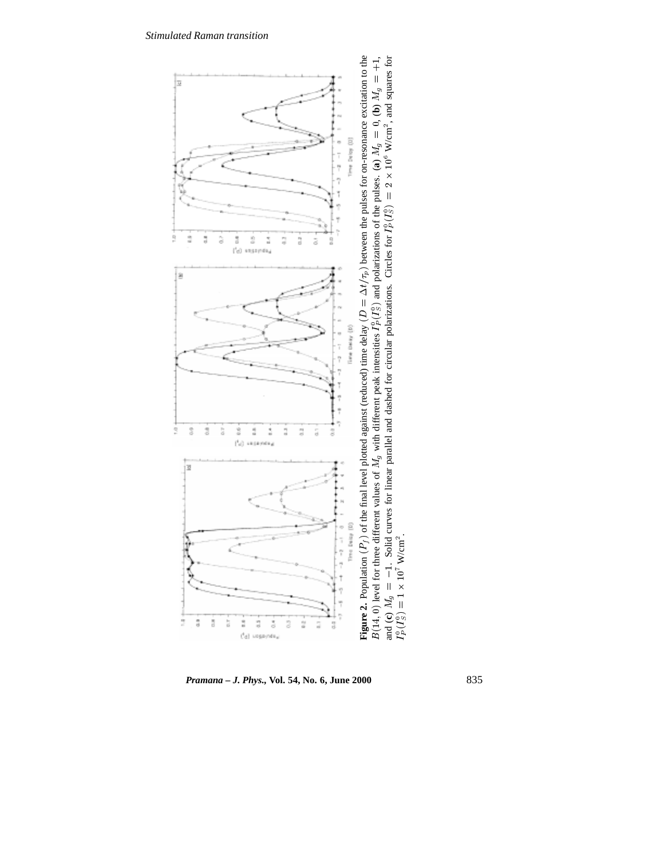

*Pramana – J. Phys.,* **Vol. 54, No. 6, June 2000** 835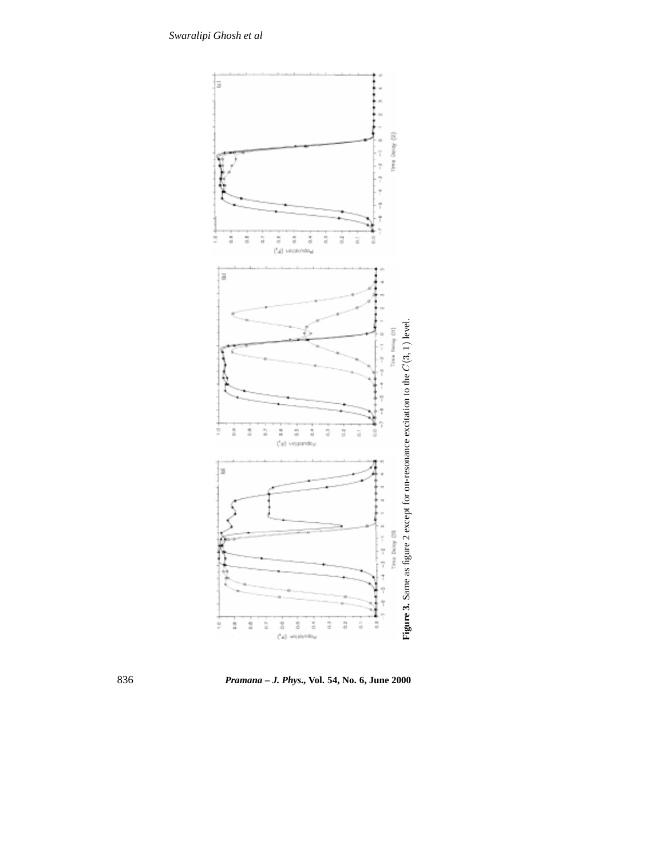

836 *Pramana – J. Phys.,* **Vol. 54, No. 6, June 2000**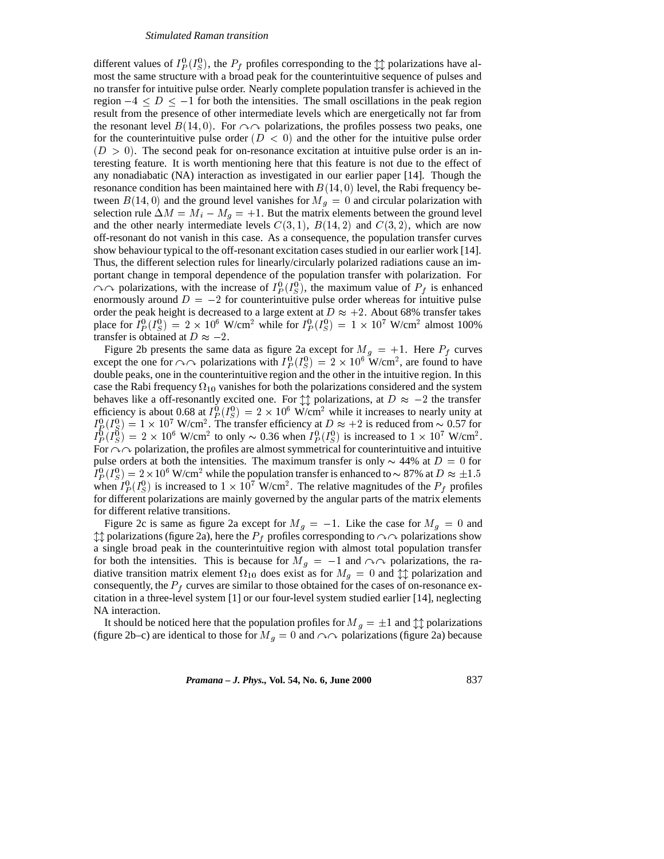different values of  $I_P^0(I_S^0)$ , the  $P_f$  profiles corresponding to the  $\updownarrow \updownarrow$  polarizations have almost the same structure with a broad peak for the counterintuitive sequence of pulses and no transfer for intuitive pulse order. Nearly complete population transfer is achieved in the region  $-4 \leq D \leq -1$  for both the intensities. The small oscillations in the peak region result from the presence of other intermediate levels which are energetically not far from the resonant level  $B(14, 0)$ . For  $\curvearrowright \curvearrowright$  polarizations, the profiles possess two peaks, one for the counterintuitive pulse order  $(D < 0)$  and the other for the intuitive pulse order  $(D > 0)$ . The second peak for on-resonance excitation at intuitive pulse order is an interesting feature. It is worth mentioning here that this feature is not due to the effect of any nonadiabatic (NA) interaction as investigated in our earlier paper [14]. Though the resonance condition has been maintained here with  $B(14, 0)$  level, the Rabi frequency between  $B(14, 0)$  and the ground level vanishes for  $M<sub>g</sub> = 0$  and circular polarization with selection rule  $\Delta M = M_i - M_g = +1$ . But the matrix elements between the ground level and the other nearly intermediate levels  $C(3,1)$ ,  $B(14,2)$  and  $C(3,2)$ , which are now off-resonant do not vanish in this case. As a consequence, the population transfer curves show behaviour typical to the off-resonant excitation cases studied in our earlier work [14]. Thus, the different selection rules for linearly/circularly polarized radiations cause an important change in temporal dependence of the population transfer with polarization. For  $\curvearrowright$  polarizations, with the increase of  $I_P^0(I_S^0)$ , the maximum value of  $P_f$  is enhanced enormously around  $D = -2$  for counterintuitive pulse order whereas for intuitive pulse order the peak height is decreased to a large extent at  $D \approx +2$ . About 68% transfer takes place for  $I_P^0(I_S^0) = 2 \times 10^6$  W/cm<sup>2</sup> while for  $I_P^0(I_S^0) = 1 \times 10^7$  W/cm<sup>2</sup> almost 100% transfer is obtained at  $D \approx -2$ .

Figure 2b presents the same data as figure 2a except for  $M<sub>g</sub> = +1$ . Here  $P<sub>f</sub>$  curves except the one for  $\curvearrowright \curvearrowright$  polarizations with  $I_P^0(I_S^0) = 2 \times 10^6$  W/cm<sup>2</sup>, are found to have double peaks, one in the counterintuitive region and the other in the intuitive region. In this case the Rabi frequency  $\Omega_{10}$  vanishes for both the polarizations considered and the system behaves like a off-resonantly excited one. For  $\uparrow \uparrow$  polarizations, at  $D \approx -2$  the transfer efficiency is about 0.68 at  $I_P^0(I_S^0) = 2 \times 10^6$  W/cm<sup>2</sup> while it increases to nearly unity at  $I_P^0(I_S^0) = 1 \times 10^7$  W/cm<sup>2</sup>. The transfer efficiency at  $D \approx +2$  is reduced from  $\sim 0.57$  for  $I_P^0(I_S^0) = 2 \times 10^6$  W/cm<sup>2</sup> to only  $\sim 0.36$  when  $I_P^0(I_S^0)$  is increased to  $1 \times 10^7$  W/cm<sup>2</sup>. For  $\sim$  polarization, the profiles are almost symmetrical for counterintuitive and intuitive pulse orders at both the intensities. The maximum transfer is only  $\sim$  44% at  $D = 0$  for  $I_P^0(I_S^0) = 2 \times 10^6$  W/cm<sup>2</sup> while the population transfer is enhanced to  $\sim 87\%$  at  $D \approx \pm 1.5$ when  $I_P^0(I_S^0)$  is increased to  $1 \times 10^7$  W/cm<sup>2</sup>. The relative magnitudes of the  $P_f$  profiles for different polarizations are mainly governed by the angular parts of the matrix elements for different relative transitions.

Figure 2c is same as figure 2a except for  $M<sub>g</sub> = -1$ . Like the case for  $M<sub>g</sub> = 0$  and  $\downarrow \downarrow$  polarizations (figure 2a), here the  $P_f$  profiles corresponding to  $\sim \sim$  polarizations show a single broad peak in the counterintuitive region with almost total population transfer for both the intensities. This is because for  $M_g = -1$  and  $\sim \sim$  polarizations, the radiative transition matrix element  $\Omega_{10}$  does exist as for  $M_q = 0$  and  $\updownarrow \updownarrow$  polarization and consequently, the  $P_f$  curves are similar to those obtained for the cases of on-resonance excitation in a three-level system [1] or our four-level system studied earlier [14], neglecting NA interaction.

It should be noticed here that the population profiles for  $M<sub>g</sub> = \pm 1$  and  $\updownarrow \downarrow$  polarizations (figure 2b–c) are identical to those for  $M_g = 0$  and  $\sim \sim$  polarizations (figure 2a) because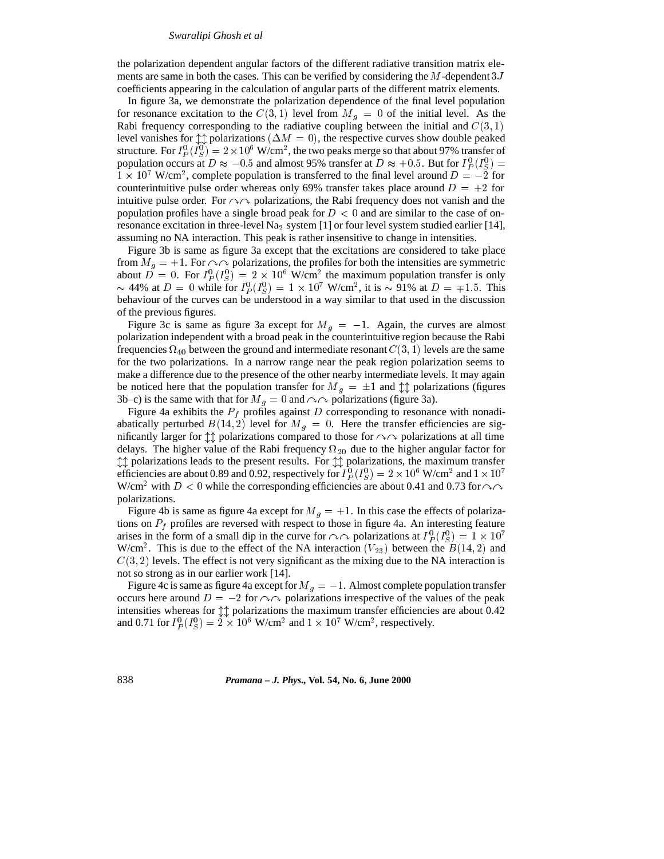the polarization dependent angular factors of the different radiative transition matrix elements are same in both the cases. This can be verified by considering the  $M$ -dependent  $3J$ coefficients appearing in the calculation of angular parts of the different matrix elements.

In figure 3a, we demonstrate the polarization dependence of the final level population for resonance excitation to the  $C(3,1)$  level from  $M<sub>g</sub> = 0$  of the initial level. As the Rabi frequency corresponding to the radiative coupling between the initial and  $C(3, 1)$ level vanishes for  $\updownarrow \uparrow$  polarizations ( $\Delta M = 0$ ), the respective curves show double peaked structure. For  $I_P^0(I_S^0)=2\times 10^6$  W/cm<sup>2</sup>, the two peaks merge so that about 97% transfer of population occurs at  $D \approx -0.5$  and almost 95% transfer at  $D \approx +0.5$ . But for  $I_P^0(I_S^0) =$ PS $1 \times 10^7$  W/cm<sup>2</sup>, complete population is transferred to the final level around  $D = -2$  for counterintuitive pulse order whereas only 69% transfer takes place around  $D = +2$  for intuitive pulse order. For  $\sim \sim$  polarizations, the Rabi frequency does not vanish and the population profiles have a single broad peak for  $D < 0$  and are similar to the case of onresonance excitation in three-level Na<sub>2</sub> system [1] or four level system studied earlier [14], assuming no NA interaction. This peak is rather insensitive to change in intensities.

Figure 3b is same as figure 3a except that the excitations are considered to take place from  $M<sub>g</sub> = +1$ . For  $\curvearrowright \curvearrowright$  polarizations, the profiles for both the intensities are symmetric about  $D = 0$ . For  $I_P^0(I_S^0) = 2 \times 10^6$  W/cm<sup>2</sup> the maximum population transfer is only  $\sim$  44% at D = 0 while for  $I_P^0(I_S^0) = 1 \times 10^7$  W/cm<sup>2</sup>, it is  $\sim$  91% at D =  $\mp$ 1.5. This behaviour of the curves can be understood in a way similar to that used in the discussion of the previous figures.

Figure 3c is same as figure 3a except for  $M<sub>g</sub> = -1$ . Again, the curves are almost polarization independent with a broad peak in the counterintuitive region because the Rabi frequencies  $\Omega_{40}$  between the ground and intermediate resonant  $C(3, 1)$  levels are the same for the two polarizations. In a narrow range near the peak region polarization seems to make a difference due to the presence of the other nearby intermediate levels. It may again be noticed here that the population transfer for  $M_g = \pm 1$  and  $\updownarrow \updownarrow$  polarizations (figures 3b–c) is the same with that for  $M<sub>g</sub> = 0$  and  $\sim \sim$  polarizations (figure 3a).

Figure 4a exhibits the  $P_f$  profiles against D corresponding to resonance with nonadiabatically perturbed  $B(14,2)$  level for  $M<sub>g</sub> = 0$ . Here the transfer efficiencies are significantly larger for  $\uparrow \uparrow$  polarizations compared to those for  $\sim \sim$  polarizations at all time delays. The higher value of the Rabi frequency  $\Omega_{20}$  due to the higher angular factor for  $\uparrow \uparrow$  polarizations leads to the present results. For  $\uparrow \uparrow$  polarizations, the maximum transfer efficiencies are about 0.89 and 0.92, respectively for  $I_P^0(I_S^0) = 2 \times 10^6$  W/cm<sup>2</sup> and  $1 \times 10^7$ W/cm<sup>2</sup> with  $D < 0$  while the corresponding efficiencies are about 0.41 and 0.73 for  $\curvearrowright\curvearrowright$ polarizations.

Figure 4b is same as figure 4a except for  $M<sub>g</sub> = +1$ . In this case the effects of polarizations on  $P_f$  profiles are reversed with respect to those in figure 4a. An interesting feature arises in the form of a small dip in the curve for  $\curvearrowright \curvearrowright$  polarizations at  $I_P^0(I_S^0) = 1 \times 10^7$ W/cm<sup>2</sup>. This is due to the effect of the NA interaction  $(V_{23})$  between the  $B(14, 2)$  and  $C(3, 2)$  levels. The effect is not very significant as the mixing due to the NA interaction is not so strong as in our earlier work [14].

Figure 4c is same as figure 4a except for  $M<sub>q</sub> = -1$ . Almost complete population transfer occurs here around  $D = -2$  for  $\curvearrowright \curvearrowright$  polarizations irrespective of the values of the peak intensities whereas for  $\uparrow \uparrow$  polarizations the maximum transfer efficiencies are about 0.42 and 0.71 for  $I_P^0(I_S^0) = 2 \times 10^6$  W/cm<sup>2</sup> and  $1 \times 10^7$  W/cm<sup>2</sup>, respectively. P $\sim$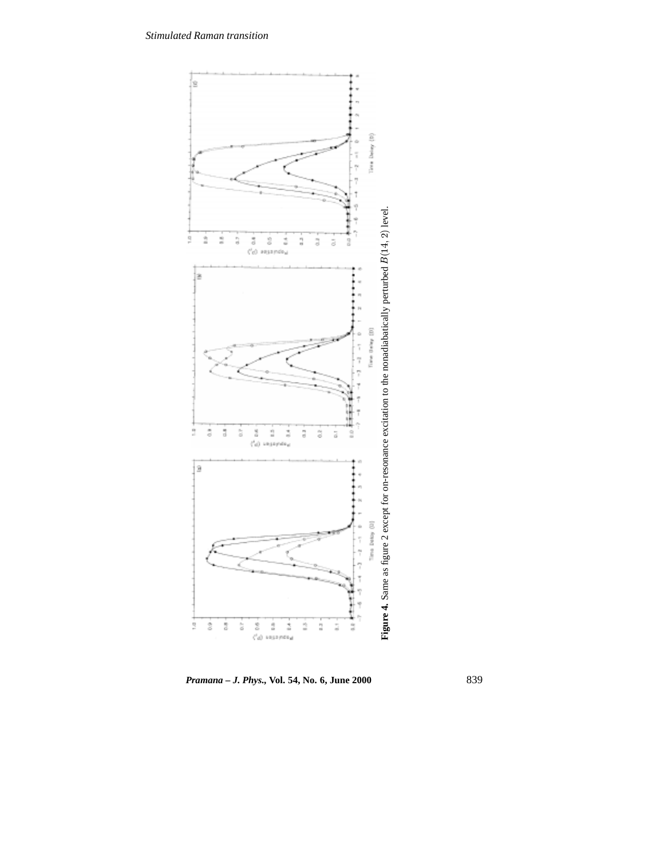

*Pramana – J. Phys.,* **Vol. 54, No. 6, June 2000** 839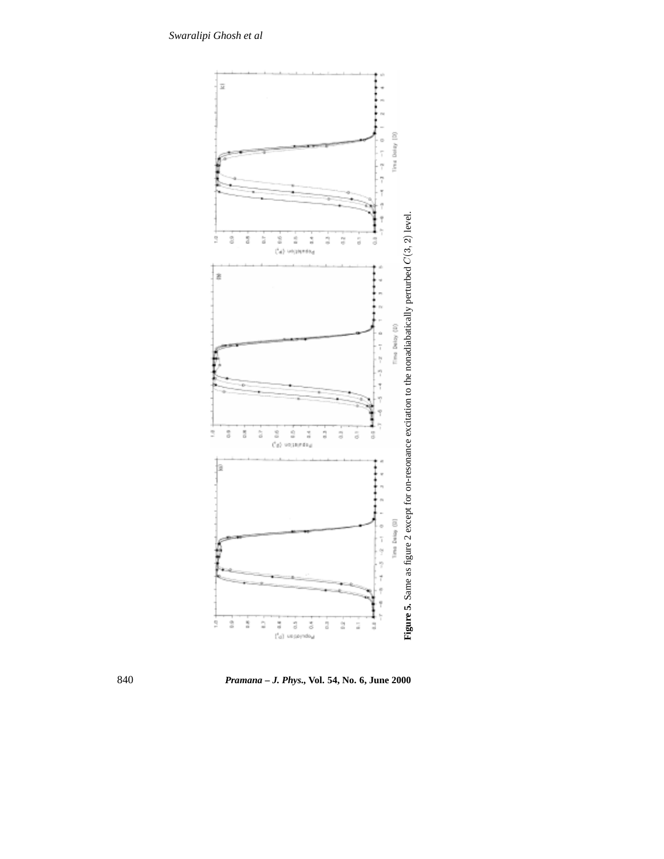

 $\begin{array}{ccc} 0 & 0 & 0 \\ 0 & 0 & 0 \\ \end{array}$ 

ġ  $\overline{\omega}$  $\bar{\bar{\sigma}}$ 3

š  $\frac{\alpha}{\alpha}$  $\overline{\overline{\overline{5}}}$  $\frac{1}{\Omega}$ 

ė

 $\frac{1}{2}$ ż ż á



o  $\overline{1}$ Ť ņ

3

 $\overline{1}$ ÿ ñ

 $\bar{1}$ 

840 *Pramana – J. Phys.,* **Vol. 54, No. 6, June 2000**

경 경 중<br>(G) uspayndou  $\ddot{\varepsilon}$ ż  $\frac{1}{2}$ ä Ĵ,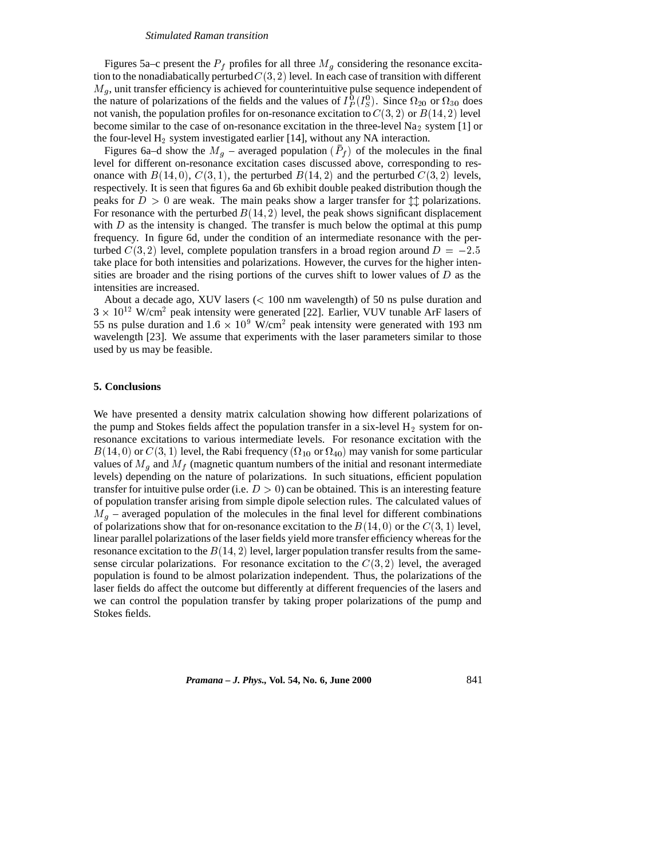Figures 5a–c present the  $P_f$  profiles for all three  $M_g$  considering the resonance excitation to the nonadiabatically perturbed  $C(3, 2)$  level. In each case of transition with different  $M<sub>g</sub>$ , unit transfer efficiency is achieved for counterintuitive pulse sequence independent of the nature of polarizations of the fields and the values of  $I_P^0(I_S^0)$ . Since  $\Omega_{20}$  or  $\Omega_{30}$  does not vanish, the population profiles for on-resonance excitation to  $C(3, 2)$  or  $B(14, 2)$  level become similar to the case of on-resonance excitation in the three-level  $Na<sub>2</sub>$  system [1] or the four-level  $H_2$  system investigated earlier [14], without any NA interaction.

Figures 6a–d show the  $M<sub>g</sub>$  – averaged population  $(P<sub>f</sub>)$  of the molecules in the final level for different on-resonance excitation cases discussed above, corresponding to resonance with  $B(14, 0)$ ,  $C(3, 1)$ , the perturbed  $B(14, 2)$  and the perturbed  $C(3, 2)$  levels, respectively. It is seen that figures 6a and 6b exhibit double peaked distribution though the peaks for  $D > 0$  are weak. The main peaks show a larger transfer for  $\uparrow \uparrow$  polarizations. For resonance with the perturbed  $B(14, 2)$  level, the peak shows significant displacement with  $D$  as the intensity is changed. The transfer is much below the optimal at this pump frequency. In figure 6d, under the condition of an intermediate resonance with the perturbed  $C(3, 2)$  level, complete population transfers in a broad region around  $D = -2.5$ take place for both intensities and polarizations. However, the curves for the higher intensities are broader and the rising portions of the curves shift to lower values of  $D$  as the intensities are increased.

About a decade ago, XUV lasers  $\ll 100$  nm wavelength) of 50 ns pulse duration and  $3 \times 10^{12}$  W/cm<sup>2</sup> peak intensity were generated [22]. Earlier, VUV tunable ArF lasers of 55 ns pulse duration and  $1.6 \times 10^9$  W/cm<sup>2</sup> peak intensity were generated with 193 nm wavelength [23]. We assume that experiments with the laser parameters similar to those used by us may be feasible.

## **5. Conclusions**

We have presented a density matrix calculation showing how different polarizations of the pump and Stokes fields affect the population transfer in a six-level  $H_2$  system for onresonance excitations to various intermediate levels. For resonance excitation with the  $B(14,0)$  or  $C(3,1)$  level, the Rabi frequency  $(\Omega_{10}$  or  $\Omega_{40})$  may vanish for some particular values of  $M<sub>g</sub>$  and  $M<sub>f</sub>$  (magnetic quantum numbers of the initial and resonant intermediate levels) depending on the nature of polarizations. In such situations, efficient population transfer for intuitive pulse order (i.e.  $D > 0$ ) can be obtained. This is an interesting feature of population transfer arising from simple dipole selection rules. The calculated values of  $M<sub>g</sub>$  – averaged population of the molecules in the final level for different combinations of polarizations show that for on-resonance excitation to the  $B(14, 0)$  or the  $C(3, 1)$  level, linear parallel polarizations of the laser fields yield more transfer efficiency whereas for the resonance excitation to the  $B(14, 2)$  level, larger population transfer results from the samesense circular polarizations. For resonance excitation to the  $C(3, 2)$  level, the averaged population is found to be almost polarization independent. Thus, the polarizations of the laser fields do affect the outcome but differently at different frequencies of the lasers and we can control the population transfer by taking proper polarizations of the pump and Stokes fields.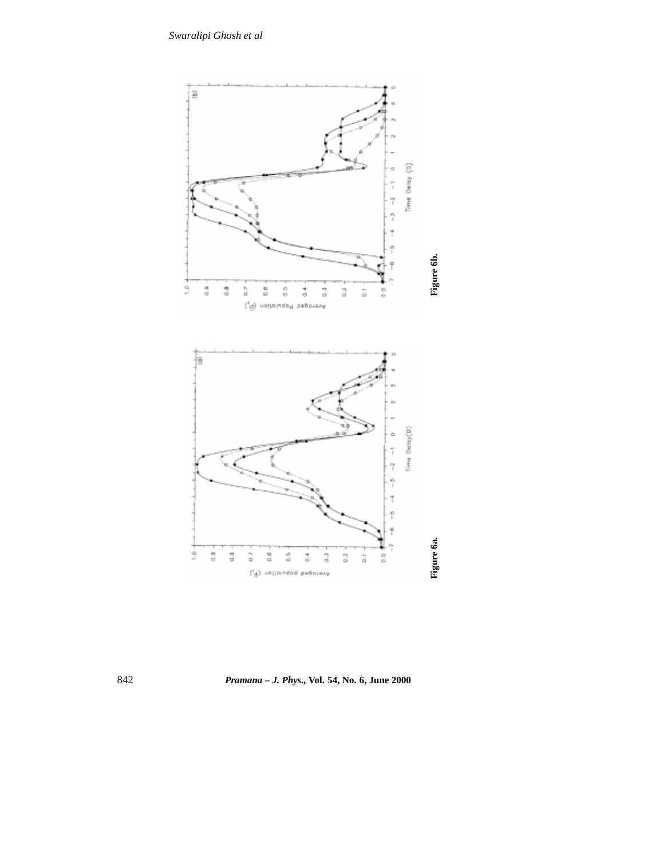

842 *Pramana – J. Phys.,* **Vol. 54, No. 6, June 2000**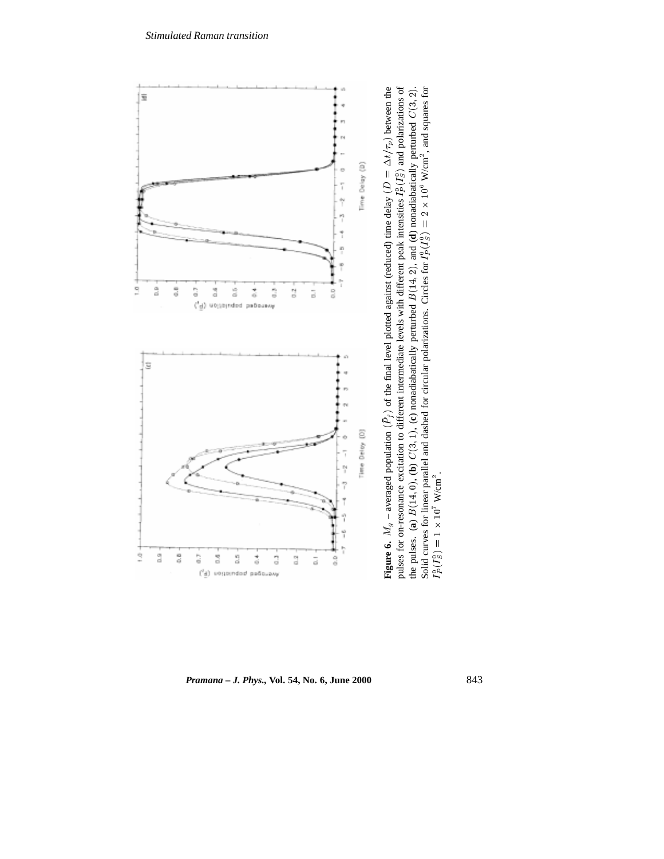

*Pramana – J. Phys.,* **Vol. 54, No. 6, June 2000** 843

 $I_P^0$ 

 $S<sup>0</sup>$ ) = 1  $\times$ 

 $\times$  10<sup>7</sup> W/cm<sup>2</sup>.

pulses for on-resonance excitation to different intermediate levels with different peak intensities I,<br>the pulses. (a)  $B(14, 0)$ , (b)  $C(3, 1)$ , (c) nonadiabatically perturbed  $B(14, 2)$ , and (d) nonadiab<br>Solid curves fo

**b**)  $C(3, 1)$ , (**c**) nonadiabatically perturbed<br>llel and dashed for circular polarizations.

Solid curves for linear parallel and dashed for circular polarizations. Circles for  $I_1^0(I_s^0) = 1 \times 10^7$  W/cm<sup>2</sup>.<br> $I_r^0(I_s^0) = 1$ 

the pulses. (**a**)  $B(14, 0)$ , (**Solid curves for linear parallel parallel**  $\Gamma^0_2(\Gamma^0_1) - 1 \vee 10^7$  **W/m<sup>2</sup>** 

 $\sum_{\text{data}}$ 

**d**) nonadiabatically perturbed

 $B(14, 2)$ , and (<br>
incles for  $I_P^0(I)$ 

 $\overline{D}$  (

 $S<sup>0</sup>$ ) = 2  $\times$ 

 $\times$  10 $^{\rm 6}$  W/cm<sup>2</sup>, and squares for

 $\begin{align*}\n\text{Equation 1:} \quad \text{Equation 2:} \quad \text{and 3:} \quad \text{Equation 3:} \quad \text{Equation 4:} \quad \text{Equation 5:} \quad \text{Equation 6:} \quad \text{Equation 7:} \quad \text{Equation 8:} \quad \text{Equation 9:} \quad \text{Equation 1:} \quad \text{Equation 2:} \quad \text{Equation 3:} \quad \text{Equation 4:} \quad \text{Equation 5:} \quad \text{Equation 6:} \quad \text{Equation 7:} \quad \text{Equation 8:} \quad \text{Equation 9:} \quad \text{Equation$ 

 $C(3, 2)$ .<br>ares for